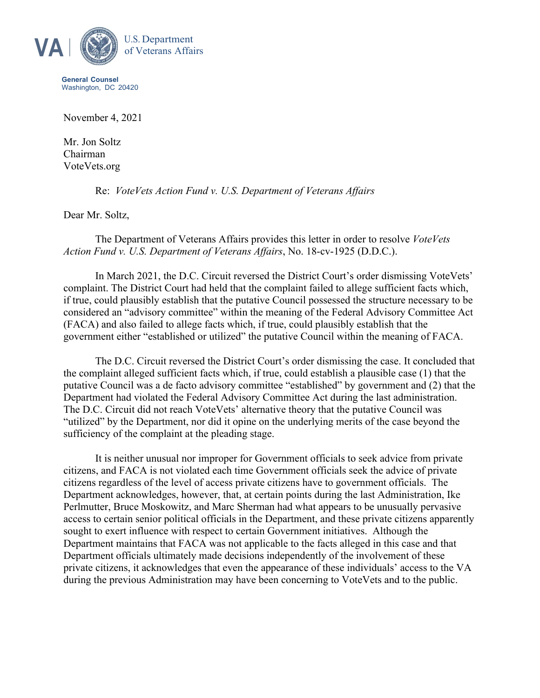

**General Counsel** Washington, DC 20420

November 4, 2021

Mr. Jon Soltz Chairman VoteVets.org

Re: *VoteVets Action Fund v. U.S. Department of Veterans Affairs*

Dear Mr. Soltz,

The Department of Veterans Affairs provides this letter in order to resolve *VoteVets Action Fund v. U.S. Department of Veterans Affairs*, No. 18-cv-1925 (D.D.C.).

In March 2021, the D.C. Circuit reversed the District Court's order dismissing VoteVets' complaint. The District Court had held that the complaint failed to allege sufficient facts which, if true, could plausibly establish that the putative Council possessed the structure necessary to be considered an "advisory committee" within the meaning of the Federal Advisory Committee Act (FACA) and also failed to allege facts which, if true, could plausibly establish that the government either "established or utilized" the putative Council within the meaning of FACA.

The D.C. Circuit reversed the District Court's order dismissing the case. It concluded that the complaint alleged sufficient facts which, if true, could establish a plausible case (1) that the putative Council was a de facto advisory committee "established" by government and (2) that the Department had violated the Federal Advisory Committee Act during the last administration. The D.C. Circuit did not reach VoteVets' alternative theory that the putative Council was "utilized" by the Department, nor did it opine on the underlying merits of the case beyond the sufficiency of the complaint at the pleading stage.

It is neither unusual nor improper for Government officials to seek advice from private citizens, and FACA is not violated each time Government officials seek the advice of private citizens regardless of the level of access private citizens have to government officials. The Department acknowledges, however, that, at certain points during the last Administration, Ike Perlmutter, Bruce Moskowitz, and Marc Sherman had what appears to be unusually pervasive access to certain senior political officials in the Department, and these private citizens apparently sought to exert influence with respect to certain Government initiatives. Although the Department maintains that FACA was not applicable to the facts alleged in this case and that Department officials ultimately made decisions independently of the involvement of these private citizens, it acknowledges that even the appearance of these individuals' access to the VA during the previous Administration may have been concerning to VoteVets and to the public.